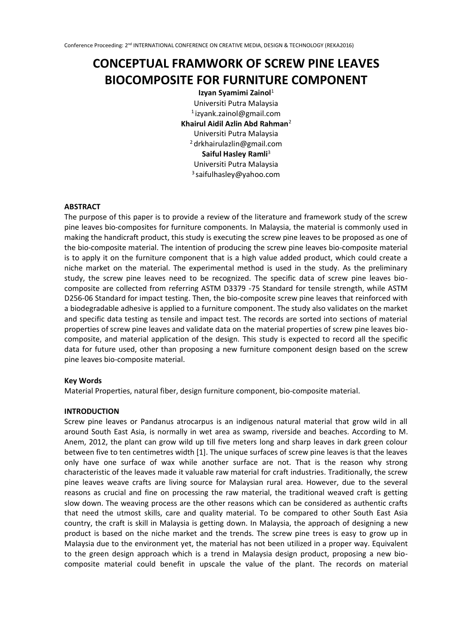# **CONCEPTUAL FRAMWORK OF SCREW PINE LEAVES BIOCOMPOSITE FOR FURNITURE COMPONENT**

**Izyan Syamimi Zainol**<sup>1</sup> Universiti Putra Malaysia <sup>1</sup>izyank.zainol@gmail.com **Khairul Aidil Azlin Abd Rahman**<sup>2</sup> Universiti Putra Malaysia <sup>2</sup>drkhairulazlin@gmail.com **Saiful Hasley Ramli**<sup>3</sup> Universiti Putra Malaysia <sup>3</sup>saifulhasley@yahoo.com

## **ABSTRACT**

The purpose of this paper is to provide a review of the literature and framework study of the screw pine leaves bio-composites for furniture components. In Malaysia, the material is commonly used in making the handicraft product, this study is executing the screw pine leaves to be proposed as one of the bio-composite material. The intention of producing the screw pine leaves bio-composite material is to apply it on the furniture component that is a high value added product, which could create a niche market on the material. The experimental method is used in the study. As the preliminary study, the screw pine leaves need to be recognized. The specific data of screw pine leaves biocomposite are collected from referring ASTM D3379 -75 Standard for tensile strength, while ASTM D256-06 Standard for impact testing. Then, the bio-composite screw pine leaves that reinforced with a biodegradable adhesive is applied to a furniture component. The study also validates on the market and specific data testing as tensile and impact test. The records are sorted into sections of material properties of screw pine leaves and validate data on the material properties of screw pine leaves biocomposite, and material application of the design. This study is expected to record all the specific data for future used, other than proposing a new furniture component design based on the screw pine leaves bio-composite material.

# **Key Words**

Material Properties, natural fiber, design furniture component, bio-composite material.

#### **INTRODUCTION**

Screw pine leaves or Pandanus atrocarpus is an indigenous natural material that grow wild in all around South East Asia, is normally in wet area as swamp, riverside and beaches. According to M. Anem, 2012, the plant can grow wild up till five meters long and sharp leaves in dark green colour between five to ten centimetres width [1]. The unique surfaces of screw pine leaves is that the leaves only have one surface of wax while another surface are not. That is the reason why strong characteristic of the leaves made it valuable raw material for craft industries. Traditionally, the screw pine leaves weave crafts are living source for Malaysian rural area. However, due to the several reasons as crucial and fine on processing the raw material, the traditional weaved craft is getting slow down. The weaving process are the other reasons which can be considered as authentic crafts that need the utmost skills, care and quality material. To be compared to other South East Asia country, the craft is skill in Malaysia is getting down. In Malaysia, the approach of designing a new product is based on the niche market and the trends. The screw pine trees is easy to grow up in Malaysia due to the environment yet, the material has not been utilized in a proper way. Equivalent to the green design approach which is a trend in Malaysia design product, proposing a new biocomposite material could benefit in upscale the value of the plant. The records on material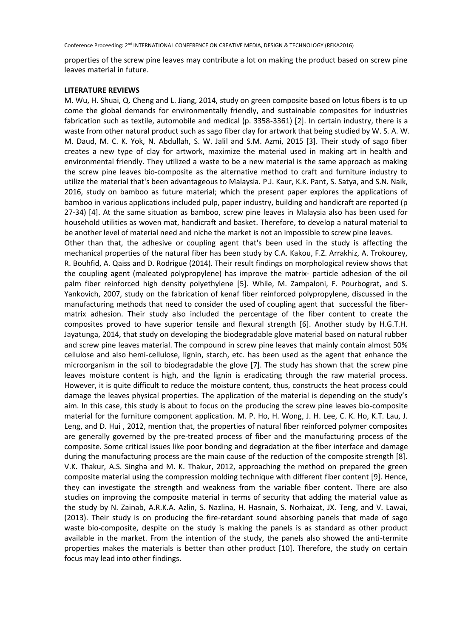properties of the screw pine leaves may contribute a lot on making the product based on screw pine leaves material in future.

## **LITERATURE REVIEWS**

M. Wu, H. Shuai, Q. Cheng and L. Jiang, 2014, study on green composite based on lotus fibers is to up come the global demands for environmentally friendly, and sustainable composites for industries fabrication such as textile, automobile and medical (p. 3358-3361) [2]. In certain industry, there is a waste from other natural product such as sago fiber clay for artwork that being studied by W. S. A. W. M. Daud, M. C. K. Yok, N. Abdullah, S. W. Jalil and S.M. Azmi, 2015 [3]. Their study of sago fiber creates a new type of clay for artwork, maximize the material used in making art in health and environmental friendly. They utilized a waste to be a new material is the same approach as making the screw pine leaves bio-composite as the alternative method to craft and furniture industry to utilize the material that's been advantageous to Malaysia. P.J. Kaur, K.K. Pant, S. Satya, and S.N. Naik, 2016, study on bamboo as future material; which the present paper explores the applications of bamboo in various applications included pulp, paper industry, building and handicraft are reported (p 27-34) [4]. At the same situation as bamboo, screw pine leaves in Malaysia also has been used for household utilities as woven mat, handicraft and basket. Therefore, to develop a natural material to be another level of material need and niche the market is not an impossible to screw pine leaves.

Other than that, the adhesive or coupling agent that's been used in the study is affecting the mechanical properties of the natural fiber has been study by C.A. Kakou, F.Z. Arrakhiz, A. Trokourey, R. Bouhfid, A. Qaiss and D. Rodrigue (2014). Their result findings on morphological review shows that the coupling agent (maleated polypropylene) has improve the matrix- particle adhesion of the oil palm fiber reinforced high density polyethylene [5]. While, M. Zampaloni, F. Pourbograt, and S. Yankovich, 2007, study on the fabrication of kenaf fiber reinforced polypropylene, discussed in the manufacturing methods that need to consider the used of coupling agent that successful the fibermatrix adhesion. Their study also included the percentage of the fiber content to create the composites proved to have superior tensile and flexural strength [6]. Another study by H.G.T.H. Jayatunga, 2014, that study on developing the biodegradable glove material based on natural rubber and screw pine leaves material. The compound in screw pine leaves that mainly contain almost 50% cellulose and also hemi-cellulose, lignin, starch, etc. has been used as the agent that enhance the microorganism in the soil to biodegradable the glove [7]. The study has shown that the screw pine leaves moisture content is high, and the lignin is eradicating through the raw material process. However, it is quite difficult to reduce the moisture content, thus, constructs the heat process could damage the leaves physical properties. The application of the material is depending on the study's aim. In this case, this study is about to focus on the producing the screw pine leaves bio-composite material for the furniture component application. M. P. Ho, H. Wong, J. H. Lee, C. K. Ho, K.T. Lau, J. Leng, and D. Hui , 2012, mention that, the properties of natural fiber reinforced polymer composites are generally governed by the pre-treated process of fiber and the manufacturing process of the composite. Some critical issues like poor bonding and degradation at the fiber interface and damage during the manufacturing process are the main cause of the reduction of the composite strength [8]. V.K. Thakur, A.S. Singha and M. K. Thakur, 2012, approaching the method on prepared the green composite material using the compression molding technique with different fiber content [9]. Hence, they can investigate the strength and weakness from the variable fiber content. There are also studies on improving the composite material in terms of security that adding the material value as the study by N. Zainab, A.R.K.A. Azlin, S. Nazlina, H. Hasnain, S. Norhaizat, JX. Teng, and V. Lawai, (2013). Their study is on producing the fire-retardant sound absorbing panels that made of sago waste bio-composite, despite on the study is making the panels is as standard as other product available in the market. From the intention of the study, the panels also showed the anti-termite properties makes the materials is better than other product [10]. Therefore, the study on certain focus may lead into other findings.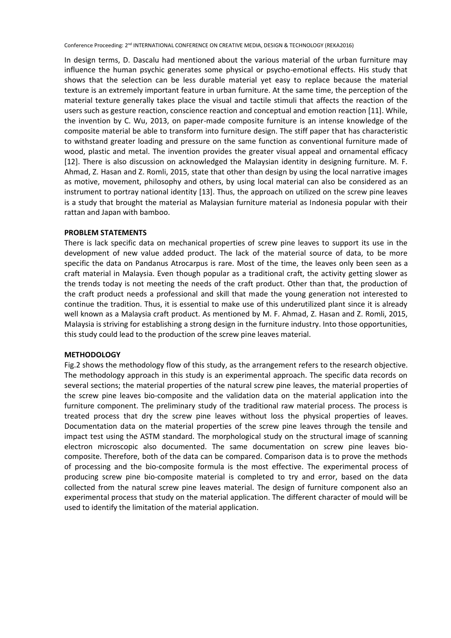In design terms, D. Dascalu had mentioned about the various material of the urban furniture may influence the human psychic generates some physical or psycho-emotional effects. His study that shows that the selection can be less durable material yet easy to replace because the material texture is an extremely important feature in urban furniture. At the same time, the perception of the material texture generally takes place the visual and tactile stimuli that affects the reaction of the users such as gesture reaction, conscience reaction and conceptual and emotion reaction [11]. While, the invention by C. Wu, 2013, on paper-made composite furniture is an intense knowledge of the composite material be able to transform into furniture design. The stiff paper that has characteristic to withstand greater loading and pressure on the same function as conventional furniture made of wood, plastic and metal. The invention provides the greater visual appeal and ornamental efficacy [12]. There is also discussion on acknowledged the Malaysian identity in designing furniture. M. F. Ahmad, Z. Hasan and Z. Romli, 2015, state that other than design by using the local narrative images as motive, movement, philosophy and others, by using local material can also be considered as an instrument to portray national identity [13]. Thus, the approach on utilized on the screw pine leaves is a study that brought the material as Malaysian furniture material as Indonesia popular with their rattan and Japan with bamboo.

## **PROBLEM STATEMENTS**

There is lack specific data on mechanical properties of screw pine leaves to support its use in the development of new value added product. The lack of the material source of data, to be more specific the data on Pandanus Atrocarpus is rare. Most of the time, the leaves only been seen as a craft material in Malaysia. Even though popular as a traditional craft, the activity getting slower as the trends today is not meeting the needs of the craft product. Other than that, the production of the craft product needs a professional and skill that made the young generation not interested to continue the tradition. Thus, it is essential to make use of this underutilized plant since it is already well known as a Malaysia craft product. As mentioned by M. F. Ahmad, Z. Hasan and Z. Romli, 2015, Malaysia is striving for establishing a strong design in the furniture industry. Into those opportunities, this study could lead to the production of the screw pine leaves material.

#### **METHODOLOGY**

Fig.2 shows the methodology flow of this study, as the arrangement refers to the research objective. The methodology approach in this study is an experimental approach. The specific data records on several sections; the material properties of the natural screw pine leaves, the material properties of the screw pine leaves bio-composite and the validation data on the material application into the furniture component. The preliminary study of the traditional raw material process. The process is treated process that dry the screw pine leaves without loss the physical properties of leaves. Documentation data on the material properties of the screw pine leaves through the tensile and impact test using the ASTM standard. The morphological study on the structural image of scanning electron microscopic also documented. The same documentation on screw pine leaves biocomposite. Therefore, both of the data can be compared. Comparison data is to prove the methods of processing and the bio-composite formula is the most effective. The experimental process of producing screw pine bio-composite material is completed to try and error, based on the data collected from the natural screw pine leaves material. The design of furniture component also an experimental process that study on the material application. The different character of mould will be used to identify the limitation of the material application.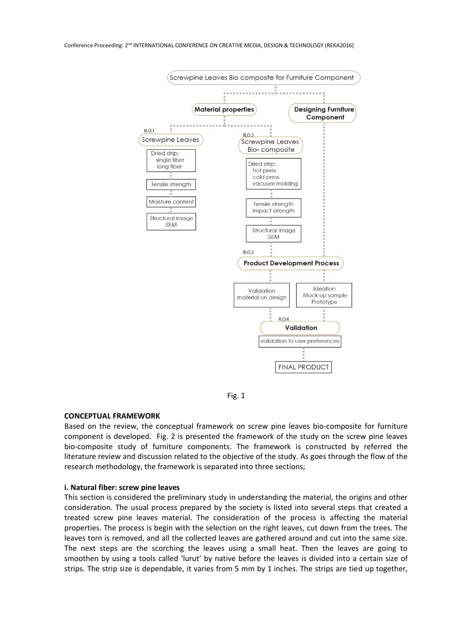



#### **CONCEPTUAL FRAMEWORK**

Based on the review, the conceptual framework on screw pine leaves bio-composite for furniture component is developed. Fig. 2 is presented the framework of the study on the screw pine leaves bio-composite study of furniture components. The framework is constructed by referred the literature review and discussion related to the objective of the study. As goes through the flow of the research methodology, the framework is separated into three sections;

#### **i. Natural fiber: screw pine leaves**

This section is considered the preliminary study in understanding the material, the origins and other consideration. The usual process prepared by the society is listed into several steps that created a treated screw pine leaves material. The consideration of the process is affecting the material properties. The process is begin with the selection on the right leaves, cut down from the trees. The leaves torn is removed, and all the collected leaves are gathered around and cut into the same size. The next steps are the scorching the leaves using a small heat. Then the leaves are going to smoothen by using a tools called 'lurut' by native before the leaves is divided into a certain size of strips. The strip size is dependable, it varies from 5 mm by 1 inches. The strips are tied up together,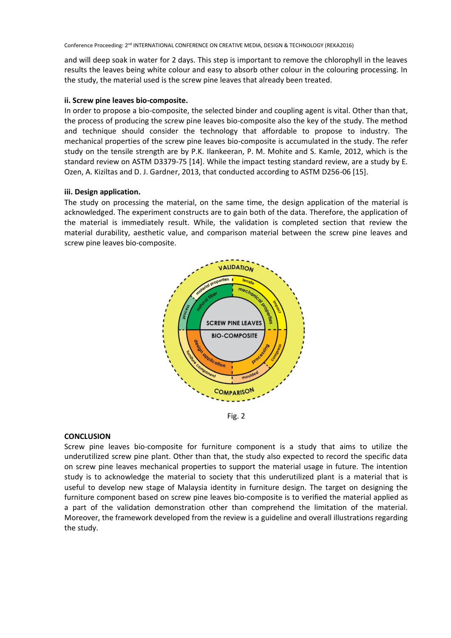and will deep soak in water for 2 days. This step is important to remove the chlorophyll in the leaves results the leaves being white colour and easy to absorb other colour in the colouring processing. In the study, the material used is the screw pine leaves that already been treated.

## **ii. Screw pine leaves bio-composite.**

In order to propose a bio-composite, the selected binder and coupling agent is vital. Other than that, the process of producing the screw pine leaves bio-composite also the key of the study. The method and technique should consider the technology that affordable to propose to industry. The mechanical properties of the screw pine leaves bio-composite is accumulated in the study. The refer study on the tensile strength are by P.K. Ilankeeran, P. M. Mohite and S. Kamle, 2012, which is the standard review on ASTM D3379-75 [14]. While the impact testing standard review, are a study by E. Ozen, A. Kiziltas and D. J. Gardner, 2013, that conducted according to ASTM D256-06 [15].

## **iii. Design application.**

The study on processing the material, on the same time, the design application of the material is acknowledged. The experiment constructs are to gain both of the data. Therefore, the application of the material is immediately result. While, the validation is completed section that review the material durability, aesthetic value, and comparison material between the screw pine leaves and screw pine leaves bio-composite.



Fig. 2

# **CONCLUSION**

Screw pine leaves bio-composite for furniture component is a study that aims to utilize the underutilized screw pine plant. Other than that, the study also expected to record the specific data on screw pine leaves mechanical properties to support the material usage in future. The intention study is to acknowledge the material to society that this underutilized plant is a material that is useful to develop new stage of Malaysia identity in furniture design. The target on designing the furniture component based on screw pine leaves bio-composite is to verified the material applied as a part of the validation demonstration other than comprehend the limitation of the material. Moreover, the framework developed from the review is a guideline and overall illustrations regarding the study.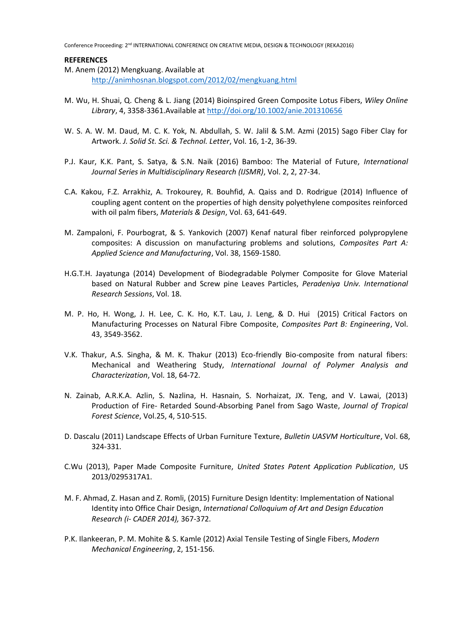#### **REFERENCES**

- M. Anem (2012) Mengkuang. Available at <http://animhosnan.blogspot.com/2012/02/mengkuang.html>
- M. Wu, H. Shuai, Q. Cheng & L. Jiang (2014) Bioinspired Green Composite Lotus Fibers, *Wiley Online Library*, 4, 3358-3361.Available at <http://doi.org/10.1002/anie.201310656>
- W. S. A. W. M. Daud, M. C. K. Yok, N. Abdullah, S. W. Jalil & S.M. Azmi (2015) Sago Fiber Clay for Artwork. *J. Solid St. Sci. & Technol. Letter*, Vol. 16, 1-2, 36-39.
- P.J. Kaur, K.K. Pant, S. Satya, & S.N. Naik (2016) Bamboo: The Material of Future, *International Journal Series in Multidisciplinary Research (IJSMR)*, Vol. 2, 2, 27-34.
- C.A. Kakou, F.Z. Arrakhiz, A. Trokourey, R. Bouhfid, A. Qaiss and D. Rodrigue (2014) Influence of coupling agent content on the properties of high density polyethylene composites reinforced with oil palm fibers, *Materials & Design*, Vol. 63, 641-649.
- M. Zampaloni, F. Pourbograt, & S. Yankovich (2007) Kenaf natural fiber reinforced polypropylene composites: A discussion on manufacturing problems and solutions, *Composites Part A: Applied Science and Manufacturing*, Vol. 38, 1569-1580.
- H.G.T.H. Jayatunga (2014) Development of Biodegradable Polymer Composite for Glove Material based on Natural Rubber and Screw pine Leaves Particles, *Peradeniya Univ. International Research Sessions*, Vol. 18.
- M. P. Ho, H. Wong, J. H. Lee, C. K. Ho, K.T. Lau, J. Leng, & D. Hui (2015) Critical Factors on Manufacturing Processes on Natural Fibre Composite, *Composites Part B: Engineering*, Vol. 43, 3549-3562.
- V.K. Thakur, A.S. Singha, & M. K. Thakur (2013) Eco-friendly Bio-composite from natural fibers: Mechanical and Weathering Study, *International Journal of Polymer Analysis and Characterization*, Vol. 18, 64-72.
- N. Zainab, A.R.K.A. Azlin, S. Nazlina, H. Hasnain, S. Norhaizat, JX. Teng, and V. Lawai, (2013) Production of Fire- Retarded Sound-Absorbing Panel from Sago Waste, *Journal of Tropical Forest Science*, Vol.25, 4, 510-515.
- D. Dascalu (2011) Landscape Effects of Urban Furniture Texture, *Bulletin UASVM Horticulture*, Vol. 68, 324-331.
- C.Wu (2013), Paper Made Composite Furniture, *United States Patent Application Publication*, US 2013/0295317A1.
- M. F. Ahmad, Z. Hasan and Z. Romli, (2015) Furniture Design Identity: Implementation of National Identity into Office Chair Design, *International Colloquium of Art and Design Education Research (i- CADER 2014),* 367-372.
- P.K. Ilankeeran, P. M. Mohite & S. Kamle (2012) Axial Tensile Testing of Single Fibers, *Modern Mechanical Engineering*, 2, 151-156.